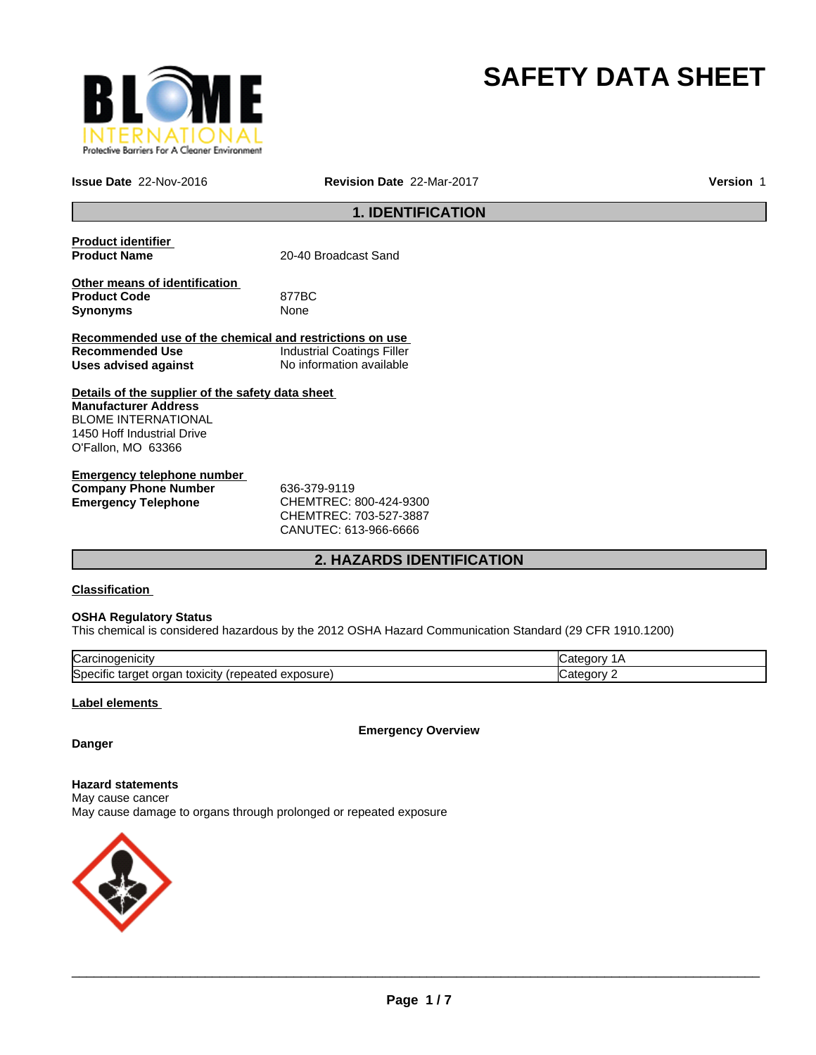

# **SAFETY DATA SHEET**

**Issue Date** 22-Nov-2016 **Revision Date** 22-Mar-2017

**Version** 1

# **1. IDENTIFICATION**

| <b>Product identifier</b>                               |                                   |
|---------------------------------------------------------|-----------------------------------|
| <b>Product Name</b>                                     | 20-40 Broadcast Sand              |
| Other means of identification                           |                                   |
| <b>Product Code</b>                                     | 877BC                             |
| <b>Synonyms</b>                                         | None                              |
| Recommended use of the chemical and restrictions on use |                                   |
| Recommended Use                                         | <b>Industrial Coatings Filler</b> |
| Uses advised against                                    | No information available          |
| Details of the supplier of the safety data sheet        |                                   |
| <b>Manufacturer Address</b>                             |                                   |
| <b>BLOME INTERNATIONAL</b>                              |                                   |
| 1450 Hoff Industrial Drive                              |                                   |
| O'Fallon, MO 63366                                      |                                   |
| <b>Emergency telephone number</b>                       |                                   |

| Elliel deller releptione humber |                        |  |
|---------------------------------|------------------------|--|
| <b>Company Phone Number</b>     | 636-379-9119           |  |
| Emergency Telephone             | CHEMTREC: 800-424-9300 |  |
|                                 | CHEMTREC: 703-527-3887 |  |

CANUTEC: 613-966-6666

# **2. HAZARDS IDENTIFICATION**

#### **Classification**

#### **OSHA Regulatory Status**

This chemical is considered hazardous by the 2012 OSHA Hazard Communication Standard (29 CFR 1910.1200)

| ∽<br>lual                                                                            |  |
|--------------------------------------------------------------------------------------|--|
| <b>S</b> pe<br>osur<br>эню<br>eatec<br>targe<br><b>TOXICILY</b><br>Jа<br>58 U<br>. . |  |

#### **Label elements**

**Emergency Overview**

# **Danger**

**Hazard statements** May cause cancer May cause damage to organs through prolonged or repeated exposure

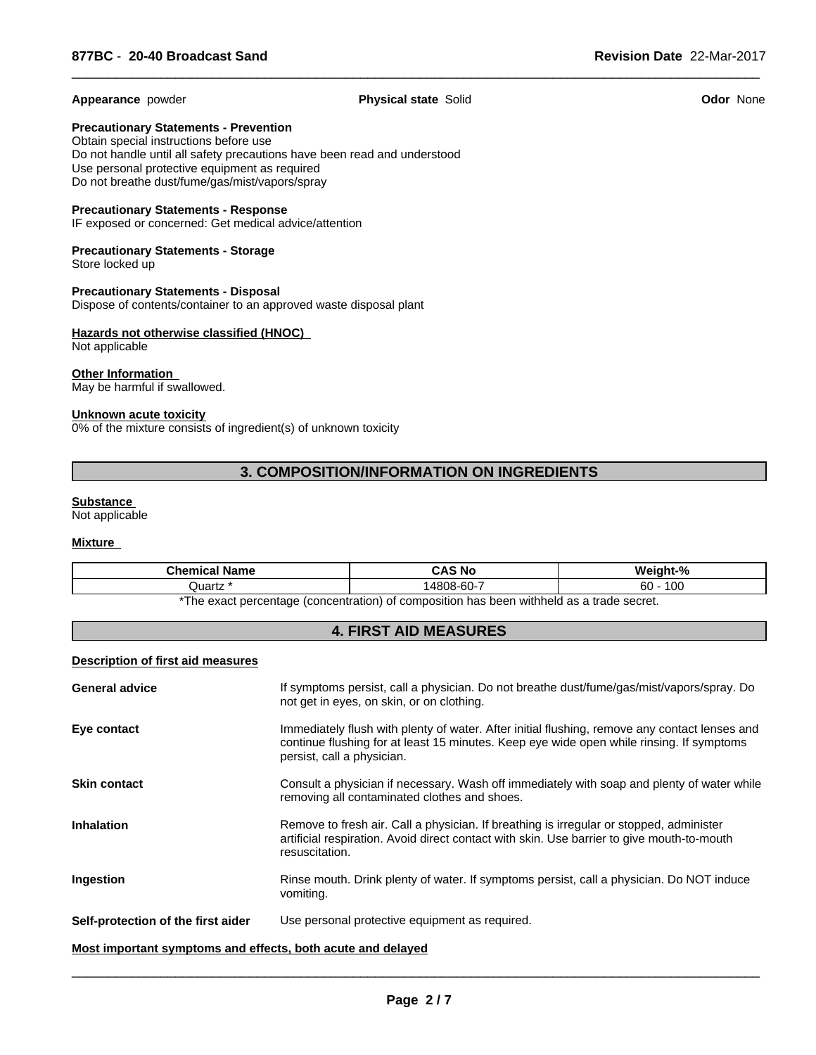#### **Appearance** powder **Physical state** Solid **Odor** None

 $\overline{\phantom{a}}$  ,  $\overline{\phantom{a}}$  ,  $\overline{\phantom{a}}$  ,  $\overline{\phantom{a}}$  ,  $\overline{\phantom{a}}$  ,  $\overline{\phantom{a}}$  ,  $\overline{\phantom{a}}$  ,  $\overline{\phantom{a}}$  ,  $\overline{\phantom{a}}$  ,  $\overline{\phantom{a}}$  ,  $\overline{\phantom{a}}$  ,  $\overline{\phantom{a}}$  ,  $\overline{\phantom{a}}$  ,  $\overline{\phantom{a}}$  ,  $\overline{\phantom{a}}$  ,  $\overline{\phantom{a}}$ 

**Precautionary Statements - Prevention**

Obtain special instructions before use Do not handle until all safety precautions have been read and understood Use personal protective equipment as required Do not breathe dust/fume/gas/mist/vapors/spray

#### **Precautionary Statements - Response**

IF exposed or concerned: Get medical advice/attention

#### **Precautionary Statements - Storage** Store locked up

**Precautionary Statements - Disposal** Dispose of contents/container to an approved waste disposal plant

#### **Hazards not otherwise classified (HNOC)**  Not applicable

# **Other Information**

May be harmful if swallowed.

#### **Unknown acute toxicity**

0% of the mixture consists of ingredient(s) of unknown toxicity

# **3. COMPOSITION/INFORMATION ON INGREDIENTS**

#### **Substance**

Not applicable

#### **Mixture**

| <b>Chamissity</b><br>∣Name<br>ншсаг | .S No<br>$\mathbf{v}$     | $\mathbf{a}$           |
|-------------------------------------|---------------------------|------------------------|
| Quartz                              | $\sim$<br>⊣480″<br>ງ8-60- | $\sqrt{2}$<br>60<br>טע |
|                                     | .                         |                        |

\*The exact percentage (concentration) of composition has been withheld as a trade secret.

#### **4. FIRST AID MEASURES**

#### **Description of first aid measures**

| <b>General advice</b>                                       | If symptoms persist, call a physician. Do not breathe dust/fume/gas/mist/vapors/spray. Do<br>not get in eyes, on skin, or on clothing.                                                                                  |
|-------------------------------------------------------------|-------------------------------------------------------------------------------------------------------------------------------------------------------------------------------------------------------------------------|
| Eye contact                                                 | Immediately flush with plenty of water. After initial flushing, remove any contact lenses and<br>continue flushing for at least 15 minutes. Keep eye wide open while rinsing. If symptoms<br>persist, call a physician. |
| <b>Skin contact</b>                                         | Consult a physician if necessary. Wash off immediately with soap and plenty of water while<br>removing all contaminated clothes and shoes.                                                                              |
| <b>Inhalation</b>                                           | Remove to fresh air. Call a physician. If breathing is irregular or stopped, administer<br>artificial respiration. Avoid direct contact with skin. Use barrier to give mouth-to-mouth<br>resuscitation.                 |
| Ingestion                                                   | Rinse mouth. Drink plenty of water. If symptoms persist, call a physician. Do NOT induce<br>vomiting.                                                                                                                   |
| Self-protection of the first aider                          | Use personal protective equipment as required.                                                                                                                                                                          |
| Most important symptoms and effects, both acute and delayed |                                                                                                                                                                                                                         |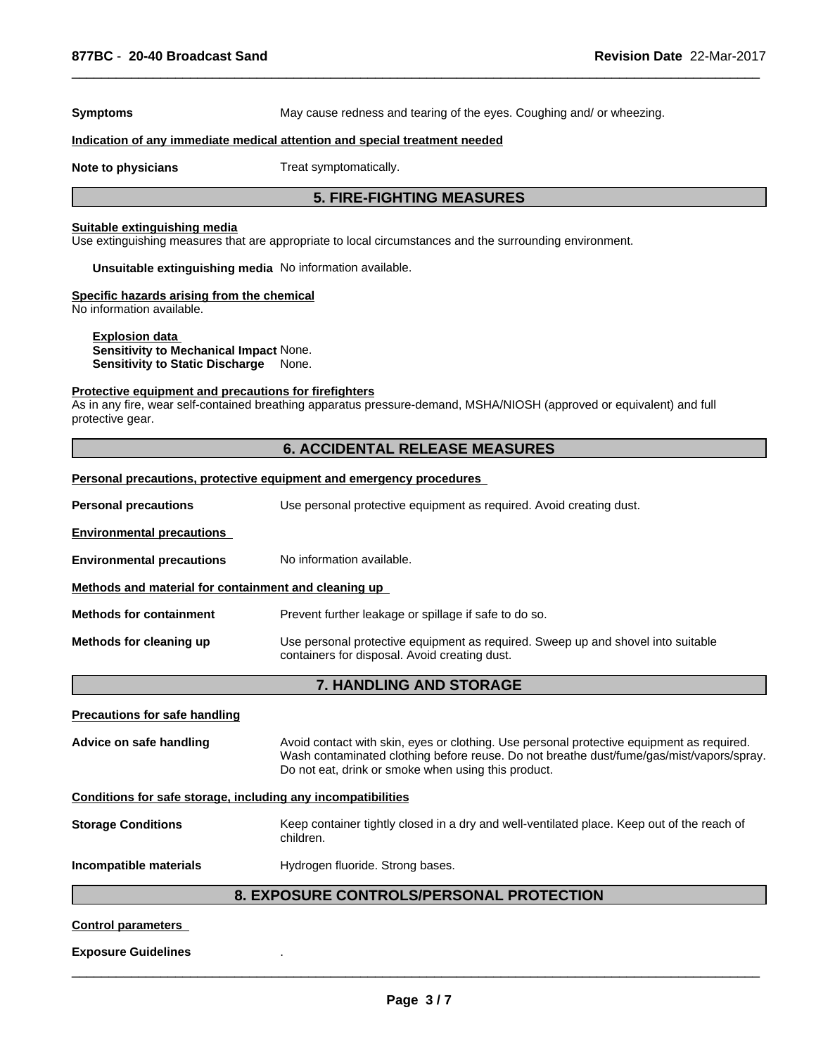**Symptoms** May cause redness and tearing of the eyes. Coughing and/ or wheezing.

 $\overline{\phantom{a}}$  ,  $\overline{\phantom{a}}$  ,  $\overline{\phantom{a}}$  ,  $\overline{\phantom{a}}$  ,  $\overline{\phantom{a}}$  ,  $\overline{\phantom{a}}$  ,  $\overline{\phantom{a}}$  ,  $\overline{\phantom{a}}$  ,  $\overline{\phantom{a}}$  ,  $\overline{\phantom{a}}$  ,  $\overline{\phantom{a}}$  ,  $\overline{\phantom{a}}$  ,  $\overline{\phantom{a}}$  ,  $\overline{\phantom{a}}$  ,  $\overline{\phantom{a}}$  ,  $\overline{\phantom{a}}$ 

#### **Indication of any immediate medical attention and special treatment needed**

**Note to physicians** Treat symptomatically.

#### **5. FIRE-FIGHTING MEASURES**

#### **Suitable extinguishing media**

Use extinguishing measures that are appropriate to local circumstances and the surrounding environment.

**Unsuitable extinguishing media** No information available.

#### **Specific hazards arising from the chemical**

No information available.

**Explosion data Sensitivity to Mechanical Impact** None. **Sensitivity to Static Discharge** None.

#### **Protective equipment and precautions for firefighters**

As in any fire, wear self-contained breathing apparatus pressure-demand, MSHA/NIOSH (approved or equivalent) and full protective gear.

#### **6. ACCIDENTAL RELEASE MEASURES**

#### **Personal precautions, protective equipment and emergency procedures**

**Personal precautions** Use personal protective equipment as required. Avoid creating dust.

**Environmental precautions** 

#### **Environmental precautions** No information available.

**Methods and material for containment and cleaning up** 

**Methods for containment** Prevent further leakage or spillage if safe to do so.

**Methods for cleaning up** Use personal protective equipment as required. Sweep up and shovel into suitable containers for disposal. Avoid creating dust.

# **7. HANDLING AND STORAGE**

#### **Precautions for safe handling**

**Advice on safe handling** Avoid contact with skin, eyes or clothing. Use personal protective equipment as required. Wash contaminated clothing before reuse. Do not breathe dust/fume/gas/mist/vapors/spray. Do not eat, drink or smoke when using this product.

#### **Conditions for safe storage, including any incompatibilities**

**Storage Conditions** Keep container tightly closed in a dry and well-ventilated place. Keep out of the reach of children.

**Incompatible materials Hydrogen fluoride. Strong bases.** 

#### **8. EXPOSURE CONTROLS/PERSONAL PROTECTION**

#### **Control parameters**

#### **Exposure Guidelines** .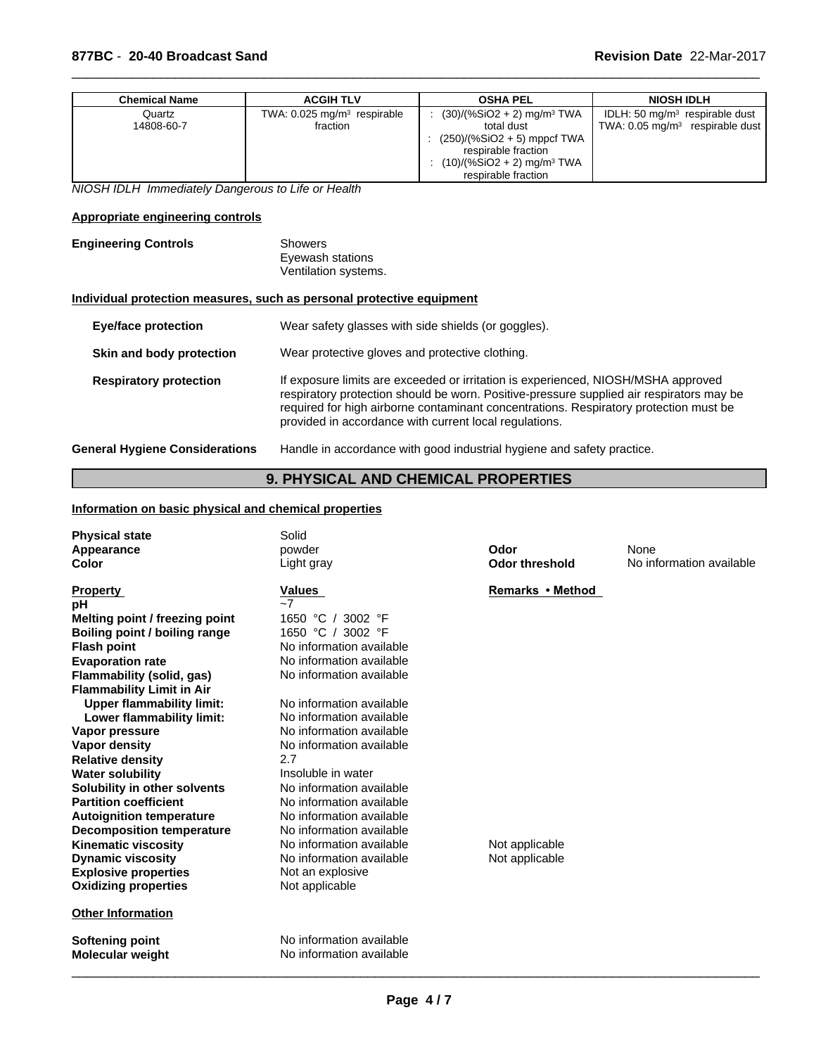| Chemical Name | <b>ACGIH TLV</b>                          | <b>OSHA PEL</b>                          | <b>NIOSH IDLH</b>                          |
|---------------|-------------------------------------------|------------------------------------------|--------------------------------------------|
| Quartz        | TWA: $0.025$ mg/m <sup>3</sup> respirable | $(30)/(%SiO2 + 2)$ mg/m <sup>3</sup> TWA | IDLH: 50 $mg/m3$ respirable dust           |
| 14808-60-7    | fraction                                  | total dust                               | TWA: $0.05 \text{ mg/m}^3$ respirable dust |
|               |                                           | : $(250)/(%SiO2 + 5)$ mppcf TWA          |                                            |
|               |                                           | respirable fraction                      |                                            |
|               |                                           | $(10)/(%SiO2 + 2)$ mg/m <sup>3</sup> TWA |                                            |
|               |                                           | respirable fraction                      |                                            |

 $\overline{\phantom{a}}$  ,  $\overline{\phantom{a}}$  ,  $\overline{\phantom{a}}$  ,  $\overline{\phantom{a}}$  ,  $\overline{\phantom{a}}$  ,  $\overline{\phantom{a}}$  ,  $\overline{\phantom{a}}$  ,  $\overline{\phantom{a}}$  ,  $\overline{\phantom{a}}$  ,  $\overline{\phantom{a}}$  ,  $\overline{\phantom{a}}$  ,  $\overline{\phantom{a}}$  ,  $\overline{\phantom{a}}$  ,  $\overline{\phantom{a}}$  ,  $\overline{\phantom{a}}$  ,  $\overline{\phantom{a}}$ 

*NIOSH IDLH Immediately Dangerous to Life or Health*

### **Appropriate engineering controls**

| <b>Engineering Controls</b> | Showers              |
|-----------------------------|----------------------|
|                             | Eyewash stations     |
|                             | Ventilation systems. |

#### **Individual protection measures, such as personal protective equipment**

| <b>Eye/face protection</b>            | Wear safety glasses with side shields (or goggles).                                                                                                                                                                                                                                                                              |
|---------------------------------------|----------------------------------------------------------------------------------------------------------------------------------------------------------------------------------------------------------------------------------------------------------------------------------------------------------------------------------|
| Skin and body protection              | Wear protective gloves and protective clothing.                                                                                                                                                                                                                                                                                  |
| <b>Respiratory protection</b>         | If exposure limits are exceeded or irritation is experienced, NIOSH/MSHA approved<br>respiratory protection should be worn. Positive-pressure supplied air respirators may be<br>required for high airborne contaminant concentrations. Respiratory protection must be<br>provided in accordance with current local regulations. |
| <b>General Hygiene Considerations</b> | Handle in accordance with good industrial hygiene and safety practice.                                                                                                                                                                                                                                                           |

# **9. PHYSICAL AND CHEMICAL PROPERTIES**

#### **Information on basic physical and chemical properties**

| <b>Physical state</b>            | Solid                    |                       |                          |
|----------------------------------|--------------------------|-----------------------|--------------------------|
| Appearance                       | powder                   | Odor                  | None                     |
| Color                            | Light gray               | <b>Odor threshold</b> | No information available |
| <b>Property</b>                  | Values                   | Remarks • Method      |                          |
| рH                               | $-7$                     |                       |                          |
| Melting point / freezing point   | 1650 °C / 3002 °F        |                       |                          |
| Boiling point / boiling range    | 1650 °C / 3002 °F        |                       |                          |
| <b>Flash point</b>               | No information available |                       |                          |
| <b>Evaporation rate</b>          | No information available |                       |                          |
| Flammability (solid, gas)        | No information available |                       |                          |
| <b>Flammability Limit in Air</b> |                          |                       |                          |
| <b>Upper flammability limit:</b> | No information available |                       |                          |
| Lower flammability limit:        | No information available |                       |                          |
| Vapor pressure                   | No information available |                       |                          |
| <b>Vapor density</b>             | No information available |                       |                          |
| <b>Relative density</b>          | 2.7                      |                       |                          |
| <b>Water solubility</b>          | Insoluble in water       |                       |                          |
| Solubility in other solvents     | No information available |                       |                          |
| <b>Partition coefficient</b>     | No information available |                       |                          |
| <b>Autoignition temperature</b>  | No information available |                       |                          |
| <b>Decomposition temperature</b> | No information available |                       |                          |
| <b>Kinematic viscosity</b>       | No information available | Not applicable        |                          |
| <b>Dynamic viscosity</b>         | No information available | Not applicable        |                          |
| <b>Explosive properties</b>      | Not an explosive         |                       |                          |
| <b>Oxidizing properties</b>      | Not applicable           |                       |                          |
| <b>Other Information</b>         |                          |                       |                          |
| Softening point                  | No information available |                       |                          |
| <b>Molecular weight</b>          | No information available |                       |                          |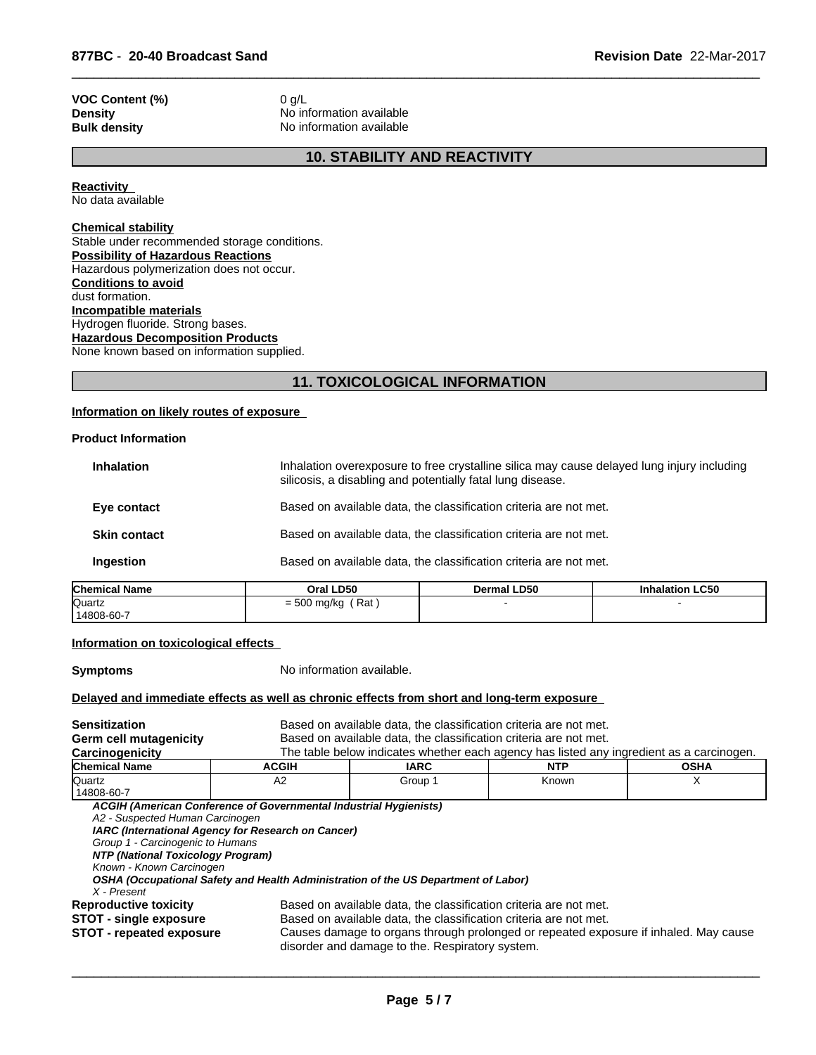# **VOC Content (%)** 0 g/L<br>**Density** No inf

**Density** No information available<br> **Bulk density** No information available **No information available** 

# **10. STABILITY AND REACTIVITY**

 $\overline{\phantom{a}}$  ,  $\overline{\phantom{a}}$  ,  $\overline{\phantom{a}}$  ,  $\overline{\phantom{a}}$  ,  $\overline{\phantom{a}}$  ,  $\overline{\phantom{a}}$  ,  $\overline{\phantom{a}}$  ,  $\overline{\phantom{a}}$  ,  $\overline{\phantom{a}}$  ,  $\overline{\phantom{a}}$  ,  $\overline{\phantom{a}}$  ,  $\overline{\phantom{a}}$  ,  $\overline{\phantom{a}}$  ,  $\overline{\phantom{a}}$  ,  $\overline{\phantom{a}}$  ,  $\overline{\phantom{a}}$ 

**Reactivity**  No data available

### **Chemical stability**

Stable under recommended storage conditions. **Possibility of Hazardous Reactions** Hazardous polymerization does not occur. **Conditions to avoid** dust formation. **Incompatible materials** Hydrogen fluoride. Strong bases. **Hazardous Decomposition Products** None known based on information supplied.

# **11. TOXICOLOGICAL INFORMATION**

#### **Information on likely routes of exposure**

#### **Product Information**

| Eye contact         | silicosis, a disabling and potentially fatal lung disease.<br>Based on available data, the classification criteria are not met. |  |
|---------------------|---------------------------------------------------------------------------------------------------------------------------------|--|
| <b>Skin contact</b> | Based on available data, the classification criteria are not met.                                                               |  |
| Ingestion           | Based on available data, the classification criteria are not met.                                                               |  |
|                     |                                                                                                                                 |  |

| <b>Chemical Name</b> | Oral LD50                  | <b>ILD50</b><br>Dermal | alation LC50 |  |
|----------------------|----------------------------|------------------------|--------------|--|
| Quartz               | Rat<br>roo.<br>= 500 mg/kg |                        |              |  |
| 14808-60-7           |                            |                        |              |  |

#### **Information on toxicological effects**

**Symptoms** No information available.

#### **Delayed and immediate effects as well as chronic effects from short and long-term exposure**

| <b>Sensitization</b>              |                                                                                    | Based on available data, the classification criteria are not met.                        |                                                                                      |             |  |  |
|-----------------------------------|------------------------------------------------------------------------------------|------------------------------------------------------------------------------------------|--------------------------------------------------------------------------------------|-------------|--|--|
| <b>Germ cell mutagenicity</b>     | Based on available data, the classification criteria are not met.                  |                                                                                          |                                                                                      |             |  |  |
| Carcinogenicity                   |                                                                                    | The table below indicates whether each agency has listed any ingredient as a carcinogen. |                                                                                      |             |  |  |
| <b>Chemical Name</b>              | <b>ACGIH</b>                                                                       | <b>IARC</b>                                                                              | NTP.                                                                                 | <b>OSHA</b> |  |  |
| Quartz                            | A2                                                                                 | Group 1                                                                                  | Known                                                                                | X           |  |  |
| 14808-60-7                        |                                                                                    |                                                                                          |                                                                                      |             |  |  |
|                                   | ACGIH (American Conference of Governmental Industrial Hygienists)                  |                                                                                          |                                                                                      |             |  |  |
| A2 - Suspected Human Carcinogen   |                                                                                    |                                                                                          |                                                                                      |             |  |  |
|                                   | IARC (International Agency for Research on Cancer)                                 |                                                                                          |                                                                                      |             |  |  |
| Group 1 - Carcinogenic to Humans  |                                                                                    |                                                                                          |                                                                                      |             |  |  |
| NTP (National Toxicology Program) |                                                                                    |                                                                                          |                                                                                      |             |  |  |
| Known - Known Carcinogen          |                                                                                    |                                                                                          |                                                                                      |             |  |  |
|                                   | OSHA (Occupational Safety and Health Administration of the US Department of Labor) |                                                                                          |                                                                                      |             |  |  |
| X - Present                       |                                                                                    |                                                                                          |                                                                                      |             |  |  |
| <b>Reproductive toxicity</b>      |                                                                                    | Based on available data, the classification criteria are not met.                        |                                                                                      |             |  |  |
| STOT - single exposure            |                                                                                    | Based on available data, the classification criteria are not met.                        |                                                                                      |             |  |  |
| <b>STOT</b> - repeated exposure   |                                                                                    | disorder and damage to the. Respiratory system.                                          | Causes damage to organs through prolonged or repeated exposure if inhaled. May cause |             |  |  |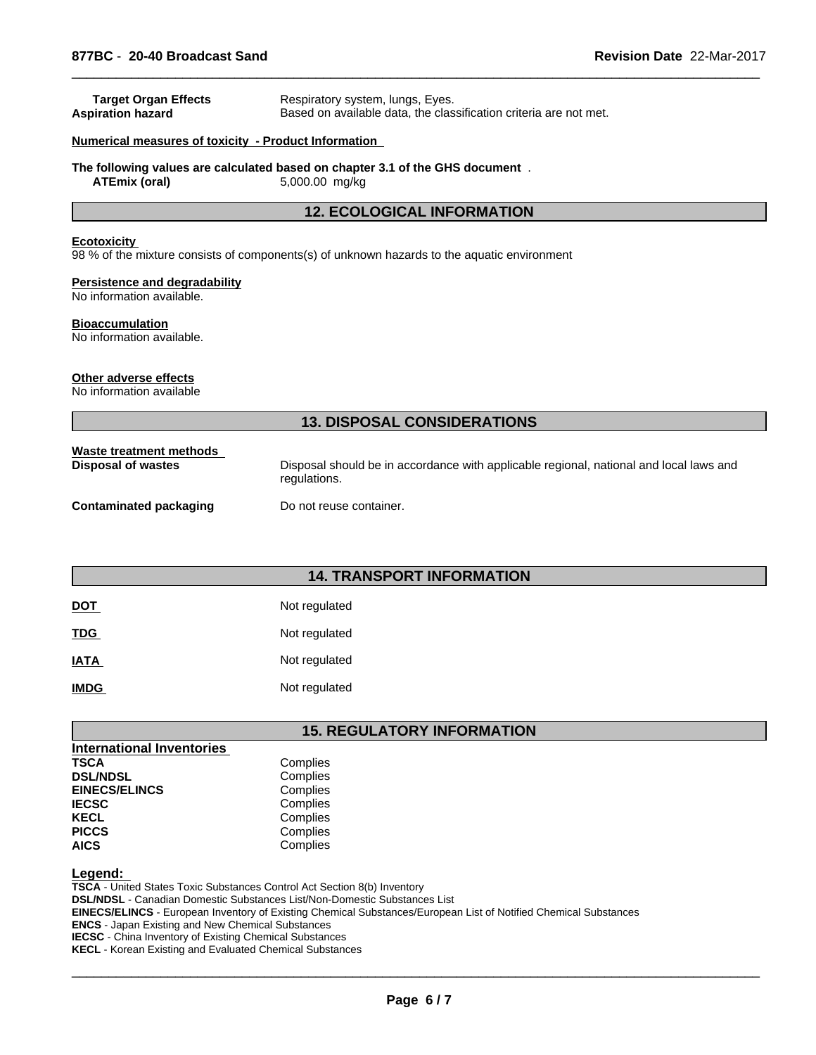| <b>Target Organ Effects</b><br><b>Aspiration hazard</b>    | Respiratory system, lungs, Eyes.<br>Based on available data, the classification criteria are not met.  |  |  |  |  |
|------------------------------------------------------------|--------------------------------------------------------------------------------------------------------|--|--|--|--|
| Numerical measures of toxicity - Product Information       |                                                                                                        |  |  |  |  |
| <b>ATEmix (oral)</b>                                       | The following values are calculated based on chapter 3.1 of the GHS document.<br>5,000.00 mg/kg        |  |  |  |  |
|                                                            | <b>12. ECOLOGICAL INFORMATION</b>                                                                      |  |  |  |  |
| <b>Ecotoxicity</b>                                         | 98 % of the mixture consists of components(s) of unknown hazards to the aquatic environment            |  |  |  |  |
| Persistence and degradability<br>No information available. |                                                                                                        |  |  |  |  |
| <b>Bioaccumulation</b><br>No information available.        |                                                                                                        |  |  |  |  |
| Other adverse effects<br>No information available          |                                                                                                        |  |  |  |  |
|                                                            | <b>13. DISPOSAL CONSIDERATIONS</b>                                                                     |  |  |  |  |
| Waste treatment methods<br><b>Disposal of wastes</b>       | Disposal should be in accordance with applicable regional, national and local laws and<br>regulations. |  |  |  |  |
| <b>Contaminated packaging</b>                              | Do not reuse container.                                                                                |  |  |  |  |
|                                                            |                                                                                                        |  |  |  |  |
|                                                            |                                                                                                        |  |  |  |  |

### **14. TRANSPORT INFORMATION**

| <b>DOT</b>  | Not regulated |
|-------------|---------------|
| <b>TDG</b>  | Not regulated |
| <b>IATA</b> | Not regulated |
| <b>IMDG</b> | Not regulated |

# **15. REGULATORY INFORMATION**

| <b>International Inventories</b> |          |
|----------------------------------|----------|
| <b>TSCA</b>                      | Complies |
| <b>DSL/NDSL</b>                  | Complies |
| <b>EINECS/ELINCS</b>             | Complies |
| <b>IECSC</b>                     | Complies |
| <b>KECL</b>                      | Complies |
| <b>PICCS</b>                     | Complies |
| <b>AICS</b>                      | Complies |

#### **Legend:**

**TSCA** - United States Toxic Substances Control Act Section 8(b) Inventory **DSL/NDSL** - Canadian Domestic Substances List/Non-Domestic Substances List **EINECS/ELINCS** - European Inventory of Existing Chemical Substances/European List of Notified Chemical Substances **ENCS** - Japan Existing and New Chemical Substances **IECSC** - China Inventory of Existing Chemical Substances **KECL** - Korean Existing and Evaluated Chemical Substances